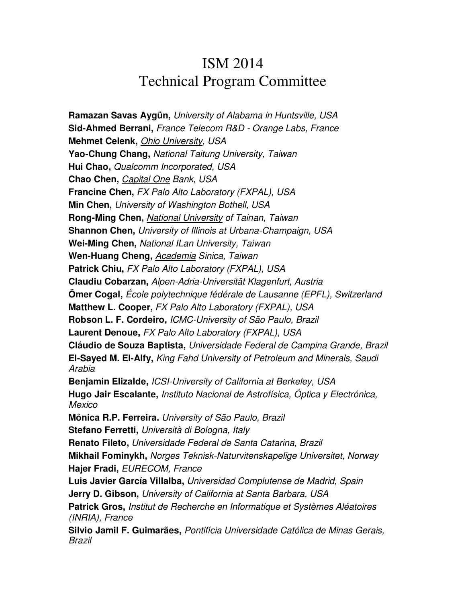## ISM 2014 Technical Program Committee

**Ramazan Savas Aygün,** University of Alabama in Huntsville, USA **Sid-Ahmed Berrani,** France Telecom R&D - Orange Labs, France **Mehmet Celenk,** Ohio University, USA **Yao-Chung Chang,** National Taitung University, Taiwan **Hui Chao,** Qualcomm Incorporated, USA **Chao Chen,** Capital One Bank, USA **Francine Chen,** FX Palo Alto Laboratory (FXPAL), USA **Min Chen,** University of Washington Bothell, USA **Rong-Ming Chen,** National University of Tainan, Taiwan **Shannon Chen,** University of Illinois at Urbana-Champaign, USA **Wei-Ming Chen,** National ILan University, Taiwan **Wen-Huang Cheng,** Academia Sinica, Taiwan **Patrick Chiu,** FX Palo Alto Laboratory (FXPAL), USA **Claudiu Cobarzan,** Alpen-Adria-Universität Klagenfurt, Austria **Ömer Cogal,** École polytechnique fédérale de Lausanne (EPFL), Switzerland **Matthew L. Cooper,** FX Palo Alto Laboratory (FXPAL), USA **Robson L. F. Cordeiro,** ICMC-University of São Paulo, Brazil **Laurent Denoue,** FX Palo Alto Laboratory (FXPAL), USA **Cláudio de Souza Baptista,** Universidade Federal de Campina Grande, Brazil **El-Sayed M. El-Alfy,** King Fahd University of Petroleum and Minerals, Saudi Arabia **Benjamin Elizalde,** ICSI-University of California at Berkeley, USA **Hugo Jair Escalante,** Instituto Nacional de Astrofísica, Óptica y Electrónica, Mexico **Mônica R.P. Ferreira.** University of São Paulo, Brazil **Stefano Ferretti,** Università di Bologna, Italy **Renato Fileto,** Universidade Federal de Santa Catarina, Brazil **Mikhail Fominykh,** Norges Teknisk-Naturvitenskapelige Universitet, Norway **Hajer Fradi,** EURECOM, France **Luis Javier García Villalba,** Universidad Complutense de Madrid, Spain **Jerry D. Gibson,** University of California at Santa Barbara, USA **Patrick Gros,** Institut de Recherche en Informatique et Systèmes Aléatoires (INRIA), France **Silvio Jamil F. Guimarães,** Pontifícia Universidade Católica de Minas Gerais, Brazil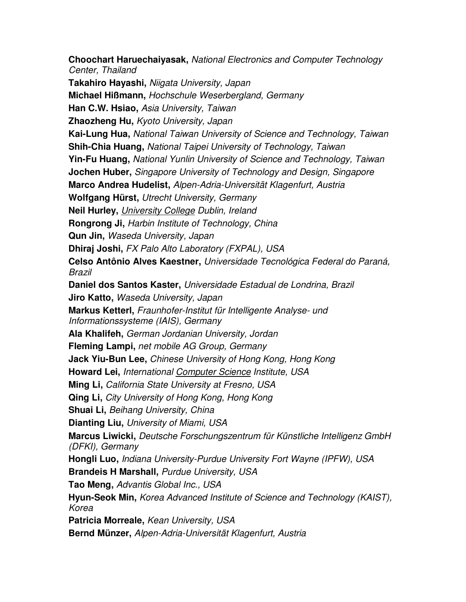**Choochart Haruechaiyasak,** National Electronics and Computer Technology Center, Thailand **Takahiro Hayashi,** Niigata University, Japan **Michael Hißmann,** Hochschule Weserbergland, Germany **Han C.W. Hsiao,** Asia University, Taiwan **Zhaozheng Hu,** Kyoto University, Japan **Kai-Lung Hua,** National Taiwan University of Science and Technology, Taiwan **Shih-Chia Huang,** National Taipei University of Technology, Taiwan **Yin-Fu Huang,** National Yunlin University of Science and Technology, Taiwan **Jochen Huber,** Singapore University of Technology and Design, Singapore **Marco Andrea Hudelist,** Alpen-Adria-Universität Klagenfurt, Austria **Wolfgang Hürst,** Utrecht University, Germany **Neil Hurley,** University College Dublin, Ireland **Rongrong Ji,** Harbin Institute of Technology, China **Qun Jin,** Waseda University, Japan **Dhiraj Joshi,** FX Palo Alto Laboratory (FXPAL), USA **Celso Antônio Alves Kaestner,** Universidade Tecnológica Federal do Paraná, Brazil **Daniel dos Santos Kaster,** Universidade Estadual de Londrina, Brazil **Jiro Katto,** Waseda University, Japan **Markus Ketterl,** Fraunhofer-Institut für Intelligente Analyse- und Informationssysteme (IAIS), Germany **Ala Khalifeh,** German Jordanian University, Jordan **Fleming Lampi,** net mobile AG Group, Germany **Jack Yiu-Bun Lee,** Chinese University of Hong Kong, Hong Kong **Howard Lei,** International Computer Science Institute, USA **Ming Li,** California State University at Fresno, USA **Qing Li,** City University of Hong Kong, Hong Kong **Shuai Li,** Beihang University, China **Dianting Liu,** University of Miami, USA **Marcus Liwicki,** Deutsche Forschungszentrum für Künstliche Intelligenz GmbH (DFKI), Germany **Hongli Luo,** Indiana University-Purdue University Fort Wayne (IPFW), USA **Brandeis H Marshall,** Purdue University, USA **Tao Meng,** Advantis Global Inc., USA **Hyun-Seok Min,** Korea Advanced Institute of Science and Technology (KAIST), Korea **Patricia Morreale,** Kean University, USA **Bernd Münzer,** Alpen-Adria-Universität Klagenfurt, Austria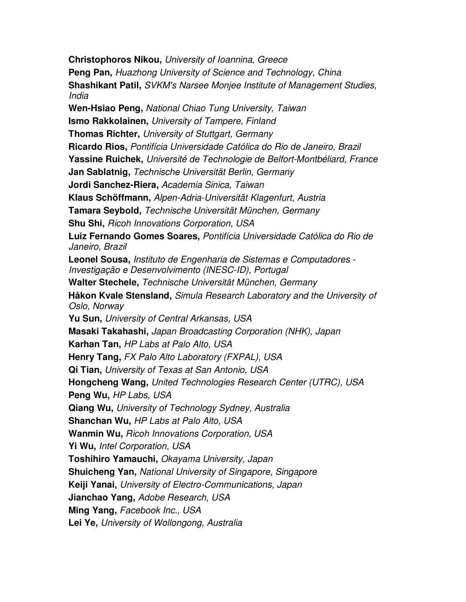**Christophoros Nikou,** University of Ioannina, Greece **Peng Pan,** Huazhong University of Science and Technology, China **Shashikant Patil,** SVKM's Narsee Monjee Institute of Management Studies, India **Wen-Hsiao Peng,** National Chiao Tung University, Taiwan **Ismo Rakkolainen,** University of Tampere, Finland **Thomas Richter,** University of Stuttgart, Germany **Ricardo Rios,** Pontifícia Universidade Católica do Rio de Janeiro, Brazil **Yassine Ruichek,** Université de Technologie de Belfort-Montbéliard, France **Jan Sablatnig,** Technische Universität Berlin, Germany **Jordi Sanchez-Riera,** Academia Sinica, Taiwan **Klaus Schöffmann,** Alpen-Adria-Universität Klagenfurt, Austria **Tamara Seybold,** Technische Universität München, Germany **Shu Shi,** Ricoh Innovations Corporation, USA **Luiz Fernando Gomes Soares,** Pontifícia Universidade Católica do Rio de Janeiro, Brazil **Leonel Sousa,** Instituto de Engenharia de Sistemas e Computadores - Investigação e Desenvolvimento (INESC-ID), Portugal **Walter Stechele,** Technische Universität München, Germany **Håkon Kvale Stensland,** Simula Research Laboratory and the University of Oslo, Norway **Yu Sun,** University of Central Arkansas, USA **Masaki Takahashi,** Japan Broadcasting Corporation (NHK), Japan **Karhan Tan,** HP Labs at Palo Alto, USA **Henry Tang,** FX Palo Alto Laboratory (FXPAL), USA **Qi Tian,** University of Texas at San Antonio, USA **Hongcheng Wang,** United Technologies Research Center (UTRC), USA **Peng Wu,** HP Labs, USA **Qiang Wu,** University of Technology Sydney, Australia **Shanchan Wu,** HP Labs at Palo Alto, USA **Wanmin Wu,** Ricoh Innovations Corporation, USA **Yi Wu,** Intel Corporation, USA **Toshihiro Yamauchi,** Okayama University, Japan **Shuicheng Yan,** National University of Singapore, Singapore **Keiji Yanai,** University of Electro-Communications, Japan **Jianchao Yang,** Adobe Research, USA **Ming Yang,** Facebook Inc., USA **Lei Ye,** University of Wollongong, Australia